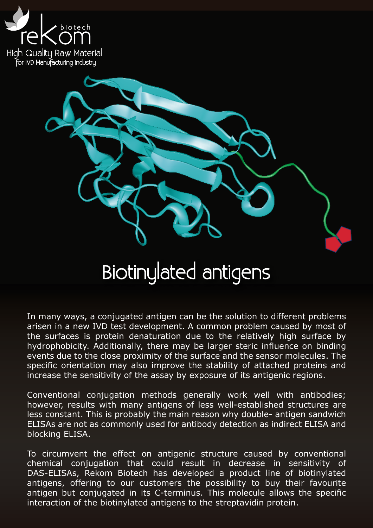



## Biotinylated antigens

In many ways, a conjugated antigen can be the solution to different problems arisen in a new IVD test development. A common problem caused by most of the surfaces is protein denaturation due to the relatively high surface by hydrophobicity. Additionally, there may be larger steric influence on binding events due to the close proximity of the surface and the sensor molecules. The specific orientation may also improve the stability of attached proteins and increase the sensitivity of the assay by exposure of its antigenic regions.

Conventional conjugation methods generally work well with antibodies; however, results with many antigens of less well-established structures are less constant. This is probably the main reason why double- antigen sandwich ELISAs are not as commonly used for antibody detection as indirect ELISA and blocking ELISA.

To circumvent the effect on antigenic structure caused by conventional chemical conjugation that could result in decrease in sensitivity of DAS-ELISAs, Rekom Biotech has developed a product line of biotinylated antigens, offering to our customers the possibility to buy their favourite antigen but conjugated in its C-terminus. This molecule allows the specific interaction of the biotinylated antigens to the streptavidin protein.